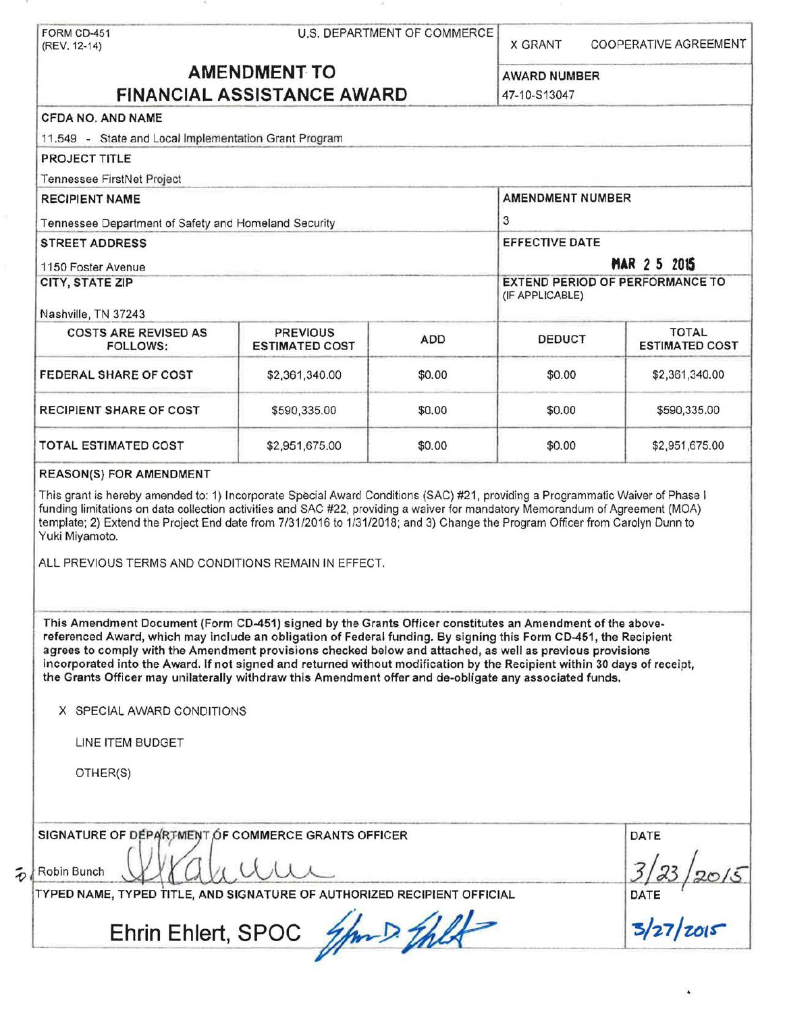| (REV. 12-14)                                                                                                                                                                                                                                                                                                                                                                                                                                                                                                                                                                                                    |                                          | U.S. DEPARTMENT OF COMMERCE | <b>X GRANT</b>                                     | <b>COOPERATIVE AGREEMENT</b>          |
|-----------------------------------------------------------------------------------------------------------------------------------------------------------------------------------------------------------------------------------------------------------------------------------------------------------------------------------------------------------------------------------------------------------------------------------------------------------------------------------------------------------------------------------------------------------------------------------------------------------------|------------------------------------------|-----------------------------|----------------------------------------------------|---------------------------------------|
| <b>AMENDMENT TO</b><br><b>FINANCIAL ASSISTANCE AWARD</b>                                                                                                                                                                                                                                                                                                                                                                                                                                                                                                                                                        |                                          |                             | <b>AWARD NUMBER</b>                                |                                       |
|                                                                                                                                                                                                                                                                                                                                                                                                                                                                                                                                                                                                                 |                                          |                             |                                                    |                                       |
| <b>CFDA NO. AND NAME</b>                                                                                                                                                                                                                                                                                                                                                                                                                                                                                                                                                                                        |                                          |                             |                                                    |                                       |
| 11.549 - State and Local Implementation Grant Program                                                                                                                                                                                                                                                                                                                                                                                                                                                                                                                                                           |                                          |                             |                                                    |                                       |
| <b>PROJECT TITLE</b>                                                                                                                                                                                                                                                                                                                                                                                                                                                                                                                                                                                            |                                          |                             |                                                    |                                       |
| Tennessee FirstNet Project                                                                                                                                                                                                                                                                                                                                                                                                                                                                                                                                                                                      |                                          |                             |                                                    |                                       |
| <b>RECIPIENT NAME</b>                                                                                                                                                                                                                                                                                                                                                                                                                                                                                                                                                                                           |                                          | <b>AMENDMENT NUMBER</b>     |                                                    |                                       |
| Tennessee Department of Safety and Homeland Security                                                                                                                                                                                                                                                                                                                                                                                                                                                                                                                                                            |                                          |                             | 3                                                  |                                       |
| <b>STREET ADDRESS</b>                                                                                                                                                                                                                                                                                                                                                                                                                                                                                                                                                                                           |                                          | <b>EFFECTIVE DATE</b>       |                                                    |                                       |
| 1150 Foster Avenue                                                                                                                                                                                                                                                                                                                                                                                                                                                                                                                                                                                              |                                          | <b>MAR 2 5 2015</b>         |                                                    |                                       |
| CITY, STATE ZIP                                                                                                                                                                                                                                                                                                                                                                                                                                                                                                                                                                                                 |                                          |                             | EXTEND PERIOD OF PERFORMANCE TO<br>(IF APPLICABLE) |                                       |
| Nashville, TN 37243                                                                                                                                                                                                                                                                                                                                                                                                                                                                                                                                                                                             |                                          |                             |                                                    |                                       |
| <b>COSTS ARE REVISED AS</b><br><b>FOLLOWS:</b>                                                                                                                                                                                                                                                                                                                                                                                                                                                                                                                                                                  | <b>PREVIOUS</b><br><b>ESTIMATED COST</b> | ADD                         | <b>DEDUCT</b>                                      | <b>TOTAL</b><br><b>ESTIMATED COST</b> |
| FEDERAL SHARE OF COST                                                                                                                                                                                                                                                                                                                                                                                                                                                                                                                                                                                           | \$2,361,340.00                           | \$0.00                      | \$0.00                                             | \$2,361,340.00                        |
| <b>RECIPIENT SHARE OF COST</b>                                                                                                                                                                                                                                                                                                                                                                                                                                                                                                                                                                                  | \$590,335.00                             | \$0.00                      | \$0.00                                             | \$590,335.00                          |
| TOTAL ESTIMATED COST                                                                                                                                                                                                                                                                                                                                                                                                                                                                                                                                                                                            | \$2,951,675.00                           | \$0.00                      | \$0.00                                             | \$2,951,675.00                        |
|                                                                                                                                                                                                                                                                                                                                                                                                                                                                                                                                                                                                                 |                                          |                             |                                                    |                                       |
| <b>REASON(S) FOR AMENDMENT</b><br>This grant is hereby amended to: 1) Incorporate Special Award Conditions (SAC) #21, providing a Programmatic Waiver of Phase I<br>funding limitations on data collection activities and SAC #22, providing a waiver for mandatory Memorandum of Agreement (MOA)<br>template; 2) Extend the Project End date from 7/31/2016 to 1/31/2018; and 3) Change the Program Officer from Carolyn Dunn to<br>Yuki Miyamoto.<br>ALL PREVIOUS TERMS AND CONDITIONS REMAIN IN EFFECT.                                                                                                      |                                          |                             |                                                    |                                       |
| This Amendment Document (Form CD-451) signed by the Grants Officer constitutes an Amendment of the above-<br>referenced Award, which may include an obligation of Federal funding. By signing this Form CD-451, the Recipient<br>agrees to comply with the Amendment provisions checked below and attached, as well as previous provisions<br>incorporated into the Award. If not signed and returned without modification by the Recipient within 30 days of receipt,<br>the Grants Officer may unilaterally withdraw this Amendment offer and de-obligate any associated funds.<br>X SPECIAL AWARD CONDITIONS |                                          |                             |                                                    |                                       |
| LINE ITEM BUDGET                                                                                                                                                                                                                                                                                                                                                                                                                                                                                                                                                                                                |                                          |                             |                                                    |                                       |
| OTHER(S)                                                                                                                                                                                                                                                                                                                                                                                                                                                                                                                                                                                                        |                                          |                             |                                                    |                                       |
|                                                                                                                                                                                                                                                                                                                                                                                                                                                                                                                                                                                                                 |                                          |                             |                                                    | DATE                                  |
| SIGNATURE OF DEPARTMENT OF COMMERCE GRANTS OFFICER<br>Robin Bunch<br>TYPED NAME, TYPED TITLE, AND SIGNATURE OF AUTHORIZED RECIPIENT OFFICIAL                                                                                                                                                                                                                                                                                                                                                                                                                                                                    |                                          |                             |                                                    | DATE                                  |

۰

 $\tilde{\boldsymbol{v}}$